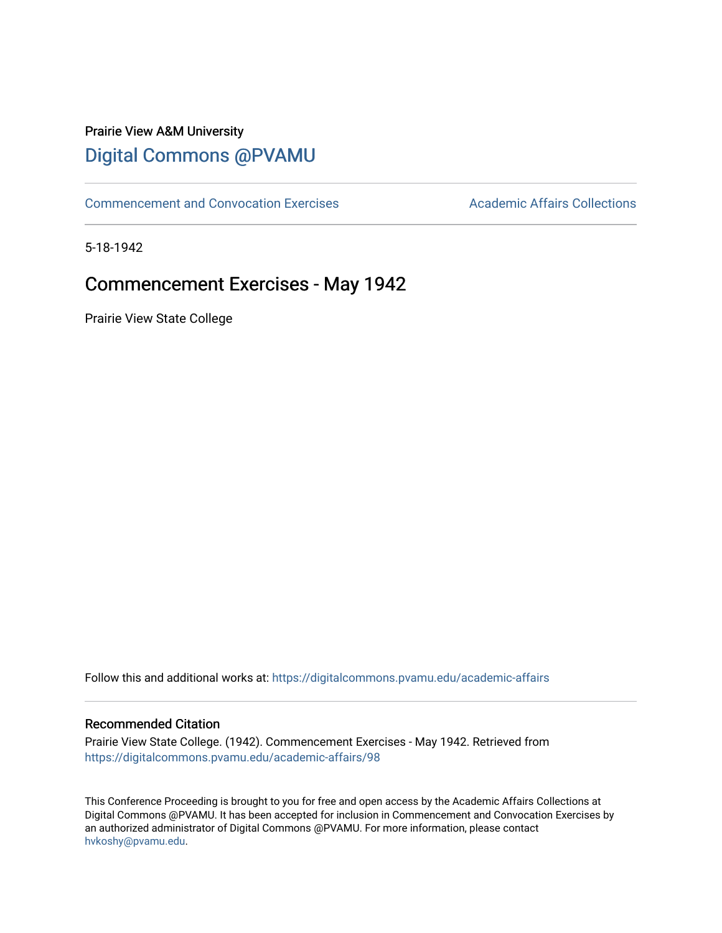# Prairie View A&M University [Digital Commons @PVAMU](https://digitalcommons.pvamu.edu/)

[Commencement and Convocation Exercises](https://digitalcommons.pvamu.edu/academic-affairs) **Academic Affairs Collections** 

5-18-1942

# Commencement Exercises - May 1942

Prairie View State College

Follow this and additional works at: [https://digitalcommons.pvamu.edu/academic-affairs](https://digitalcommons.pvamu.edu/academic-affairs?utm_source=digitalcommons.pvamu.edu%2Facademic-affairs%2F98&utm_medium=PDF&utm_campaign=PDFCoverPages)

#### Recommended Citation

Prairie View State College. (1942). Commencement Exercises - May 1942. Retrieved from [https://digitalcommons.pvamu.edu/academic-affairs/98](https://digitalcommons.pvamu.edu/academic-affairs/98?utm_source=digitalcommons.pvamu.edu%2Facademic-affairs%2F98&utm_medium=PDF&utm_campaign=PDFCoverPages) 

This Conference Proceeding is brought to you for free and open access by the Academic Affairs Collections at Digital Commons @PVAMU. It has been accepted for inclusion in Commencement and Convocation Exercises by an authorized administrator of Digital Commons @PVAMU. For more information, please contact [hvkoshy@pvamu.edu](mailto:hvkoshy@pvamu.edu).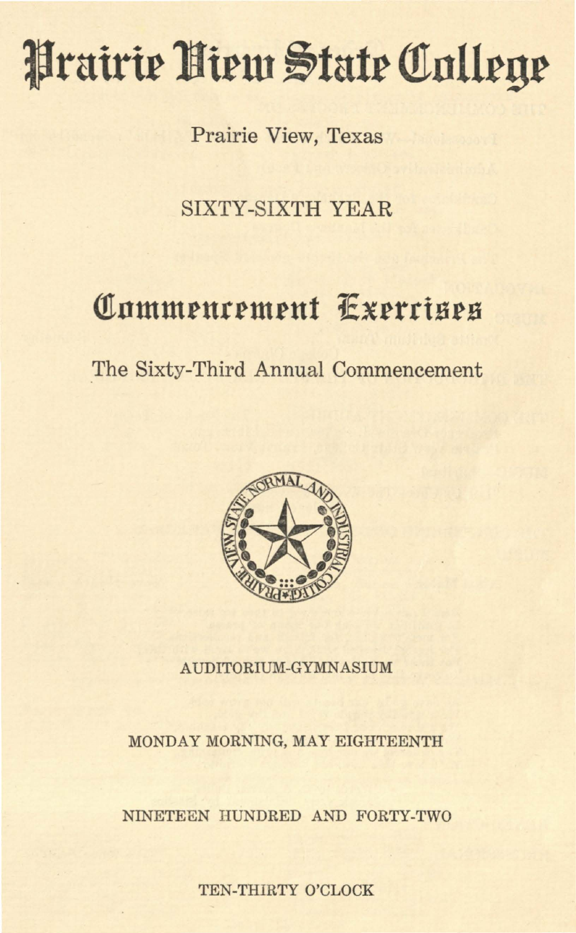# Prairie Niem State College

Prairie View, Texas

SIXTY-SIXTH YEAR

# **Commencement Exercises**

The Sixty-Third Annual Commencement



AUDITORIUM-GYMNASIUM

MONDAY MORNING, MAY EIGHTEENTH

NINETEEN HUNDRED AND FORTY-TWO

TEN-THIRTY O'CLOCK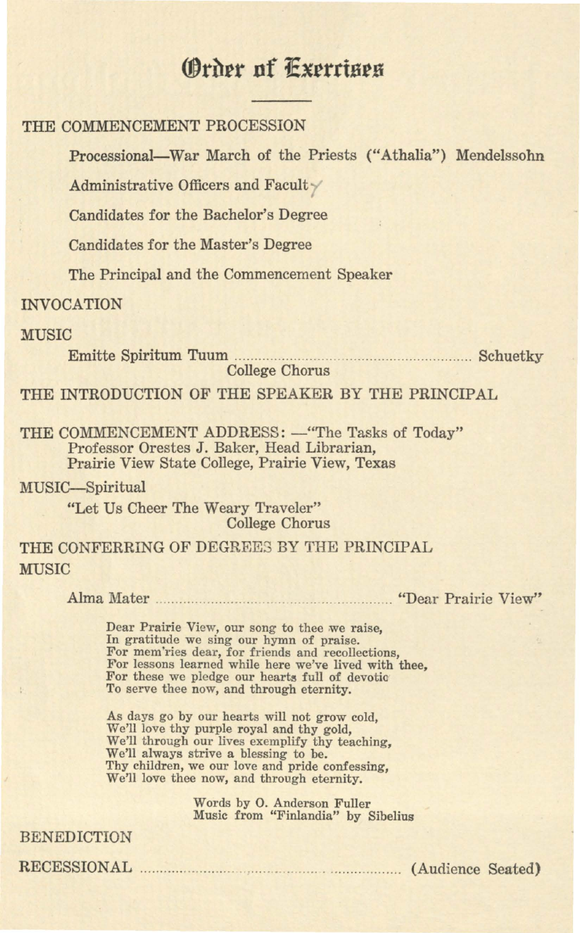# *<u>@rder</u>* **nf**  $\overline{E}$ *xerrises*

#### THE COMMENCEMENT PROCESSION

Processional-War March of the Priests ("Athalia") Mendelssohn

Administrative Officers and Facult

Candidates for the Bachelor's Degree

Candidates for the Master's Degree

The Principal and the Commencement Speaker

#### INVOCATION

#### **MUSIC**

Emitte Spiritum Tuum ... .......... .. .. ........ ..... ............. ........ ........ Schuetky

College Chorus

THE INTRODUCTION OF THE SPEAKER BY THE PRINCIPAL

THE COMMENCEMENT ADDRESS: - "The Tasks of Today" Professor Orestes J. Baker, Head Librarian, Prairie View State College, Prairie View, Texas

MUSIC-Spiritual "Let Us Cheer The Weary Traveler" College Chorus

### THE CONFERRING OF DEGREES BY THE PRINCIPAL **MUSIC**

Alma Mater ......... ........................... .... ....... . "Dear Prairie View"

Dear Prairie View, our song to thee we raise, In gratitude we sing our hymn of praise. For mem'ries dear, for friends and recollections, For lessons learned while here we've lived with thee, For these we pledge our hearts full of devotio To serve thee now, and through eternity.

As days go by our hearts will not grow cold, We'll love thy purple royal and thy gold, We'll through our lives exemplify thy teaching, We'll always strive a blessing to be. Thy children, we our love and pride confessing, We'll love thee now, and through eternity.

> Words by 0. Anderson Fuller Music from "Finlandia" by Sibelius

#### BENEDICTION

RECESSIONAL . . . . . . . .. . .. . .. . . .. .. . . . . .. . . . . . . ..... . . . . . . . . . . . . . . . . . . . (Audience Seated)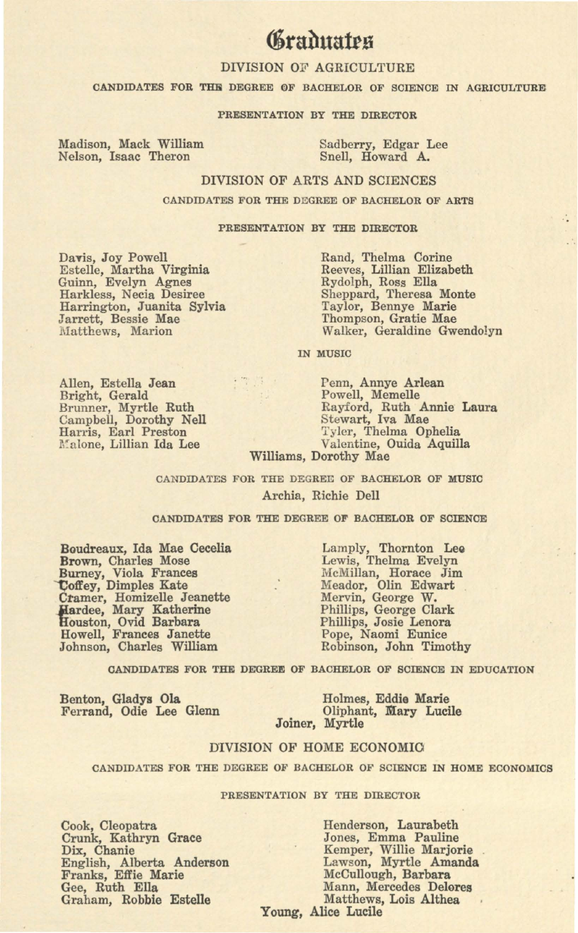# *<u>braduates</u>*

#### DIVISION OF AGRICULTURE

CANDIDATES FOR THE DEGREE OF BACHELOR OF SCIENCE IN AGRICULTURE

#### PRESENTATION BY THE DIRECTOR

Madison, Mack William Madison, Mack William Sadberry, Edgar Lee<br>Nelson, Isaac Theron Snell, Howard A.

Snell, Howard A.

#### DIVISION OF ARTS AND SCIENCES

CANDIDATES FOR THE DEGREE OF BACHELOR OF ARTS

#### PRESENTATION BY THE DIRECTOR

Davis, Joy Powell Estelle, Martha Virginia Guinn, Evelyn Agnes Harkless, Necia Desiree Harrington, Juanita Sylvia Jarrett, Bessie Mae Matthews, Marion

Rand, Thelma Corine Reeves, Lillian Elizabeth Rydolph, Ross Ella Sheppard, Theresa Monte Taylor, Bennye **Marie**  Thompson, Gratie Mae Walker, Geraldine Gwendolyn

IN MUSIC

Allen, Estella Jean Bright, Gerald Brunner, Myrtle Ruth Campbell, Dorothy Nell Harris, Earl Preston Malone, Lillian Ida Lee

Penn, Annye **Arlean**  Powell, Memelle Rayford, Ruth Annie Laura Stewart, Iva Mae Tyler, Thelma Ophelia Valentine, Ouida Aquilla Williams, Dorothy Mae

CANDIDATES FOR THE DEGREE OF BACHELOR OF MUSIC Archia, Richie Dell

#### CANDIDATES FOR THE DEGREE OF BACHELOR OF SCIENCE

Boudreaux, Ida Mae Cecelia **Brown,** Charles Mose Burney, Viola Frances **'Coffey, Dimples Kate** Cramer, Homizelle Jeanette **.}Iardee,** Mary Katherine Houston, Ovid Barbara Howell, Frances Janette Johnson, Charles William

Lamply, Thornton Lee Lewis, Thelma Evelyn McMillan, Horace Jim Meador, Olin Edwart Mervin, George W.<br>Phillips, George Clark Phillips, Josie Lenora Pope, Naomi Eunice Robinson, John Timothy

CANDIDATES FOR THE DEGREE OF BACHELOR OF SCIENCE IN EDUCATION

Benton, **Gladys Ola**  Ferrand, Odie Lee Glenn

Holmes, Eddie **Marie**  Oliphant, **Mary** Lucile Joiner, Myrtle

#### DIVISION OF HOME ECONOMIO

CANDIDATES FOR THE DEGREE OF BACHELOR OF SCIENCE IN HOME ECONOMICS

#### PRESENTATION BY THE DIRECTOR

Cook, Cleopatra Crunk, Kathryn Grace Dix, Chanie English, Alberta Anderson Franks, Effie **Marie**  Gee, Ruth Ella Graham, Robbie Estelle

Henderson, Laurabeth Jones, Emma Pauline Kemper, Willie Marjorie Lawson, Myrtle Amanda McCullough, Barbara Mann, Mercedes Delores Matthews, Lois Althea

Young, Alice Lucile